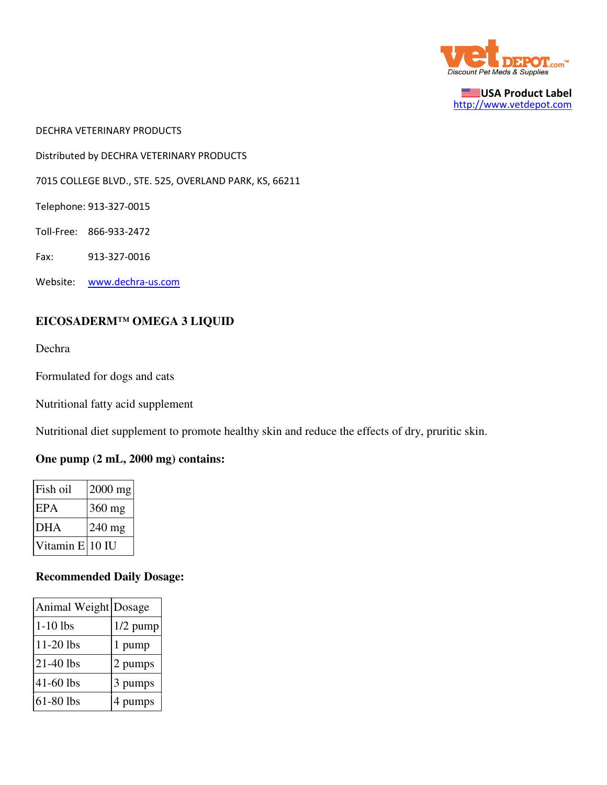

USA Product Label http://www.vetdepot.com

DECHRA VETERINARY PRODUCTS

Distributed by DECHRA VETERINARY PRODUCTS

7015 COLLEGE BLVD., STE. 525, OVERLAND PARK, KS, 66211

Telephone: 913-327-0015

Toll-Free: 866-933-2472

Fax: 913-327-0016

Website: www.dechra-us.com

## **EICOSADERM™ OMEGA 3 LIQUID**

Dechra

Formulated for dogs and cats

Nutritional fatty acid supplement

Nutritional diet supplement to promote healthy skin and reduce the effects of dry, pruritic skin.

## **One pump (2 mL, 2000 mg) contains:**

| Fish oil        | $2000$ mg |
|-----------------|-----------|
| EPA             | 360 mg    |
| <b>DHA</b>      | $240$ mg  |
| Vitamin E 10 IU |           |

## **Recommended Daily Dosage:**

| Animal Weight Dosage |            |
|----------------------|------------|
| $1-10$ lbs           | $1/2$ pump |
| 11-20 lbs            | 1 pump     |
| 21-40 lbs            | 2 pumps    |
| 41-60 lbs            | 3 pumps    |
| 61-80 lbs            | 4 pumps    |